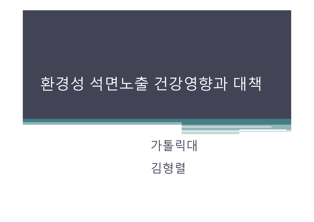# 환경성 석면노출 건강영향과 대책



e 2000 - 2000 - 2000 - 2000 - 2000 - 2000 - 2000 - 2000 - 2000 - 2000 - 2000 - 2000 - 2000 - 2000 - 2000 - 200<br>- 2000 - 2000 - 2000 - 2000 - 2000 - 2000 - 2000 - 2000 - 2000 - 2000 - 2000 - 2000 - 2000 - 2000 - 2000 - 20

김형렬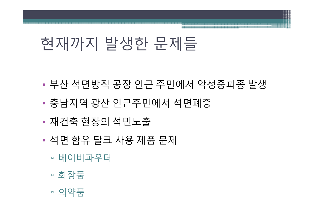#### ▫의약품

- ▫화장품
- ▫베이비파우더
- •석면 함유 탈 크 사용 제품 문 제
- •재건축 현장의 석면노출
- •충남지역 광산 인근주민에서 석면폐증
- •부산 석면방직 공장 인근 주민에서 악성중피종 발생

# 현재까지 발생한 문제들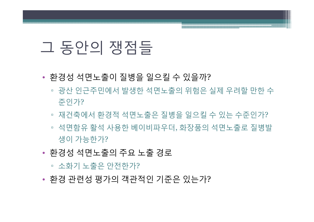## 그 동안의 쟁점들

- 환경성 석면노출이 질병을 일으킬 수 있을까 ?
	- 광산 인근주민에서 발생한 석면노출의 위험은 실제 우려할 만한 수 준인가 ?
	- 재건축에서 환경적 석면노출은 질병을 일으킬 수 있는 수준인가 ?
	- 석면함유 활석 사용한 베이비파우더, 화장품의 석면노출로 질병발 생이 가능한가?
- 환경성 석면노출의 주요 노출 경로

▫ 소화기 노출은 안전한가?

• 환경 관련성 평가의 객관적인 기준은 있는가 ?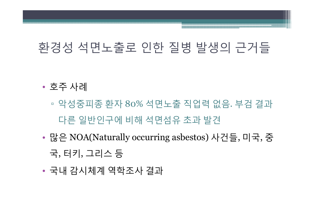### 환경성 석면노출로 인한 질병 발생의 근거들

- • 호주 사례
	- ▫ 악성중피종 환자 80% 석면노출 직업력 없음. 부검 결과 다른 일반인구에 비해 석면섬유 초과 발견
- • 많은 NOA(Naturally occurring asbestos) 사건들, 미국, 중 국, 터키, 그리스 등
- •국내 감시체계 역학조사 결과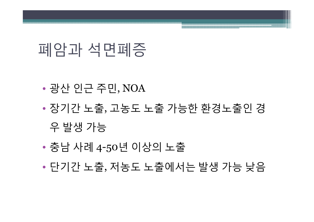- •단기간 노출, 저농도 노출에서는 발생 가능 낮음
- •충남 사례 4-50년 이상의 노출
- 우 발생 가능
- •장기간 노출, 고농도 노출 가능한 환경노출인 경
- •광산 인근 주민 , NOA

# 폐암과 석면폐증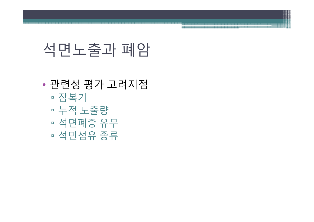## 석면노출과 폐암

- • 관련성 평가 고려지점
	- ▫▫ 잠복기
	- ▫누적 노출량
	- ▫석면폐증 유무
	- ▫석면섬유 종류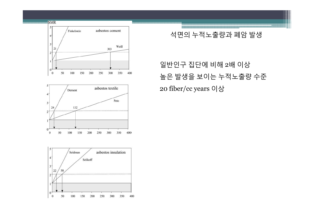



#### 석면의 누적노출량과 폐암 발생

### 일반인구 집단에 비해 <sup>2</sup>배 이상 높은 발생을 보이는 누적노출량 수준 20 fiber/cc years 이상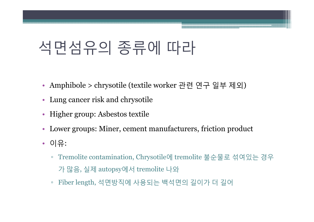# 석면섬유의 종류에 따라

- Amphibole > chrysotile (textile worker 관련 연구 일부 제외 )
- Lung cancer risk and chrysotile
- Higher group: Asbestos textile
- Lower groups: Miner, cement manufacturers, friction product
- 이유:
	- Tremolite contamination, Chrysotile 에 tremolite 불순물로 섞여있는 경우 가 많음, 실제 autopsy에서 tremolite 나와
	- $\Box$ Fiber length, 석면방직에 사용되는 백석면의 길이가 더 길어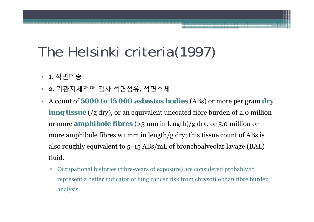## The Helsinki criteria(1997)

- 1. 석면폐증
- 2. 기관지세척액 검사 석면섬유, 석면소체
- • A count of **5000 to 15 000 asbestos bodies** (ABs) or more per gram **dry**   $\lim g$  tissue (/ $g$  dry), or an equivalent uncoated fibre burden of 2.0 million or more **amphibole fibres** (>5 mm in length)/g dry, or 5.0 million or more amphibole fibres w1 mm in length/g dry; this tissue count of ABs is also roughly equivalent to 5 –15 ABs/mL of bronchoalveolar lavage (BAL) fluid.
	- $\Box$  Occupational histories (fibre-years of exposure) are considered probably to represent a better indicator of lung cancer risk from chrysotile than fibre burden analysis.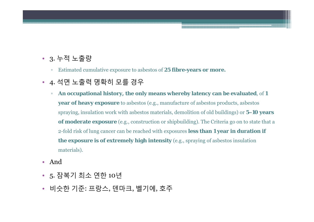#### • 3. 누적 노출량

- $\Box$ Estimated cumulative exposure to asbestos of **25 fibre-years or more.**
- 4. 석면 노출력 명확히 모를 경우
	- $\Box$  **An occupational history, the only means whereby latency can be evaluated**, of **<sup>1</sup> year of heavy exposure** to asbestos (e.g., manufacture of asbestos products, asbestos spraying, insulation work with asbestos materials, demolition of old buildings) or **5–10 years of moderate exposure** (e.g., construction or shipbuilding). The Criteria go on to state that a 2-fold risk of lung cancer can be reached with exposures **less than 1 year in duration if the exposure is of extremely high intensity** (e.g., spraying of asbestos insulation materials).
- And
- 5. 잠복기 최소 연한 <sup>10</sup>년
- 비슷한 기준: 프랑스, 덴마크, 벨기에, 호주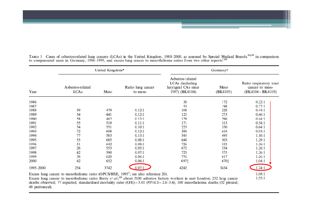United Kingdom\* Germanyt Asbestos-related LCAs (including Ratio respiratory tract Asbestos-related Ratio lung cancer Meso laryngeal CAs since cancer to meso **LCAs** 1997) (BK4104) Meso (BK4105)  $(BK4104 + BK4105)$ Year to meso 1986 38 172  $0.22:1$ 1987 53 198  $0.27:1$ 228 1988 59 479  $0.12:1$ 100  $0.44:1$ 54 1989 441  $0.12:1$ 125 273  $0.46:1$ 1990 58  $0.13:1$ 129 296 462  $0.44:1$ 1991 55 519 171 315  $0.54:1$  $0.11:1$ 1992 54 551  $0.10:1$ 223 350  $0.64:1$ 1993  $72$ 608  $0.12:1$ 388 416  $0.93:1$ 1994 77 583  $0.13:1$ 545 495  $1.10:1$ 1995 55 685  $0.08:1$ 648 503 1.29:1 1996 51 642  $0.08:1$ 726 535 1.36:1 1997 26 553  $0.05:1$ 672 534  $1.26:1$ 1998 42 590  $0.07:1$ 723 575  $1.26:1$ 1999 38 620  $0.06:1$ 776 617 1.26:1 2000 42 652 6971  $1.04:1$  $0.06:1$ 670t  $0.07:1$ 1995-2000 254 3742 4242 3434  $1.24:1$ Excess lung cancer to mesothelioma ratio (OPCS/HSE, 1995<sup>7</sup>; see also reference 20).  $1.09:1$ 1.55:1

TABLE 1 Cases of asbestos-related lung cancers (LCAs) in the United Kingdom, 1988–2000, as assessed by Special Medical Boards,<sup>44,45</sup> in comparison to compensated cases in Germany, 1986–1999, and excess lung cancer to mes

Excess lung cancer to mesothelioma ratio: Berry et al.<sup>46</sup> about 5100 asbestos factory workers in east London; 232 lung cancer deaths observed; 77 expected; standardised mortality ratio (O/E)=3.01 (95%CI=2.6-3.4); 100 mesothelioma deaths (52 pleural; 48 peritoneal).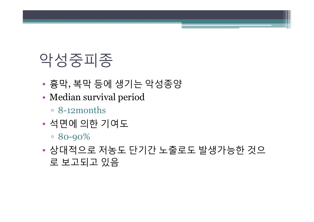# 악성중피종

- •흉막, 복막 등에 생기는 악성종양
- • Median survival period
	- 8-12months
- • 석면에 의한 기여도
	- $\overline{80-90\%}$
- • 상대적으로 저농도 단기간 노출로도 발생가능한 것으 로 보고되고 있음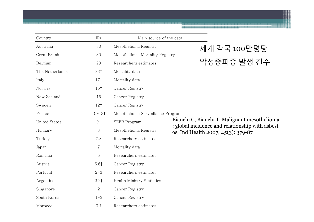| Country              | IR*                    | Main source of the data           |                                                                                                 |
|----------------------|------------------------|-----------------------------------|-------------------------------------------------------------------------------------------------|
| Australia            | 30                     | Mesothelioma Registry             | 세계 각국 100만명당                                                                                    |
| Great Britain        | 30                     | Mesothelioma Mortality Registry   |                                                                                                 |
| Belgium              | 29                     | Researchers estimates             | 악성중피종 발생 건수                                                                                     |
| The Netherlands      | 23†                    | Mortality data                    |                                                                                                 |
| Italy                | 17 <sup>†</sup>        | Mortality data                    |                                                                                                 |
| Norway               | 16†                    | Cancer Registry                   |                                                                                                 |
| New Zealand          | 15                     | Cancer Registry                   |                                                                                                 |
| Sweden               | 12 <sub>1</sub>        | Cancer Registry                   |                                                                                                 |
| France               | $10 - 13$ <sup>†</sup> | Mesothelioma Surveillance Program |                                                                                                 |
| <b>United States</b> | 9 <sup>†</sup>         | SEER Program                      | Bianchi C, Bianchi T. Malignant mesothelioma<br>: global incidence and relationship with asbest |
| Hungary              | 8                      | Mesothelioma Registry             | os. Ind Health 2007; 45(3): 379-87                                                              |
| Turkey               | 7.8                    | Researchers estimates             |                                                                                                 |
| Japan                | 7                      | Mortality data                    |                                                                                                 |
| Romania              | 6                      | Researchers estimates             |                                                                                                 |
| Austria              | 5.6 <sup>†</sup>       | Cancer Registry                   |                                                                                                 |
| Portugal             | $2 - 3$                | Researchers estimates             |                                                                                                 |
| Argentina            | $2.2+$                 | <b>Health Ministry Statistics</b> |                                                                                                 |
| Singapore            | $\overline{2}$         | Cancer Registry                   |                                                                                                 |
| South Korea          | $1 - 2$                | Cancer Registry                   |                                                                                                 |
| Morocco              | 0.7                    | Researchers estimates             |                                                                                                 |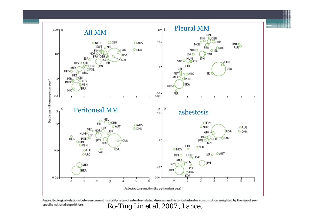



Figure: Ecological relations between current mortality rates of asbestos-related diseases and historical asbestos consumption weighted by the size of sexspecific national populations *Ro-Ting Lin et al, 2007 , Lancet*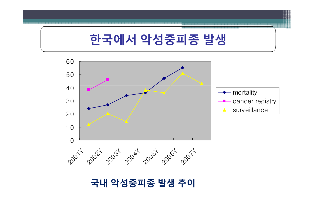### **국내 악성중피종 발생 추이**

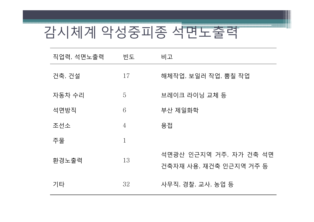# 감시체계 악성중피종 석면노출력

| 직업력, 석면노출력 | 빈도             | 비고                                               |
|------------|----------------|--------------------------------------------------|
| 건축, 건설     | 17             | 해체작업, 보일러 작업, 뿜칠 작업                              |
| 자동차 수리     | 5              | 브레이크 라이닝 교체 등                                    |
| 석면방직       | 6              | 부산 제일화학                                          |
| 조선소        | $\overline{4}$ | 용접                                               |
| 주물         | $\mathbf{1}$   |                                                  |
| 환경노출력      | 13             | 석면광산 인근지역 거주, 자가 건축 석면<br>건축자재 사용, 재건축 인근지역 거주 등 |
| 기타         | 32             | 사무직, 경찰, 교사, 농업 등                                |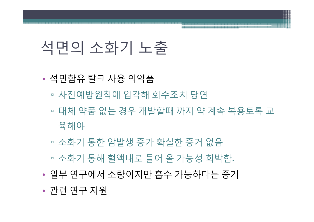#### •관련 연구 지원

- •일부 연구에서 소량이지만 흡수 가능하다는 증거
- ▫소화기 통해 혈액내로 들어 올 가능성 희박함.
- ▫소화기 통한 암발생 증가 확실한 증거 없음
- 육해야
- ▫▫ 대체 약품 없는 경우 개발할때 까지 약 계속 복용토록 교
- ▫사전예방원칙에 입각해 회수조치 당연
- •석면함유 탈크 사용 의약품

## 석면의 소화기 노출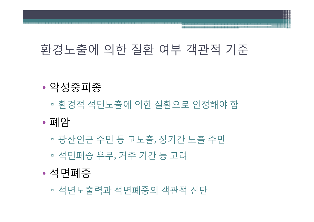▫석면노 출력과 석면폐증의 객관적 진단

#### •석면폐증

- ▫석면폐증 유무, 거주 기간 등 고려
- ▫▫ 광산인근 주민 등 고노출, 장기간 노출 주민
- •폐암
- ▫환경적 석면노출에 의한 질환으로 인정해야 함

#### •악성중피종

### 환경노출에 의한 질환 여부 객관적 기준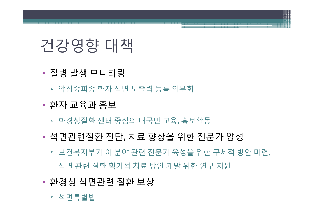#### ▫ 석면특별법

- •환경성 석면관련 질환 보상
- 석면 관련 질환 획기적 치료 방안 개발 위한 연구 지원
- 보건복지부가 이 분야 관련 전문가 육성을 위한 구체적 방안 마련,
- •석면관련질환 진단, 치료 향상을 위한 전문가 양성
- 환경성질환 센터 중심의 대국민 교육, 홍보활동
- •환자 교육과 홍보
- 악성중피종 환자 석면 노출력 등록 의무화
- •질병 발생 모니터링

## 건강영향 대책